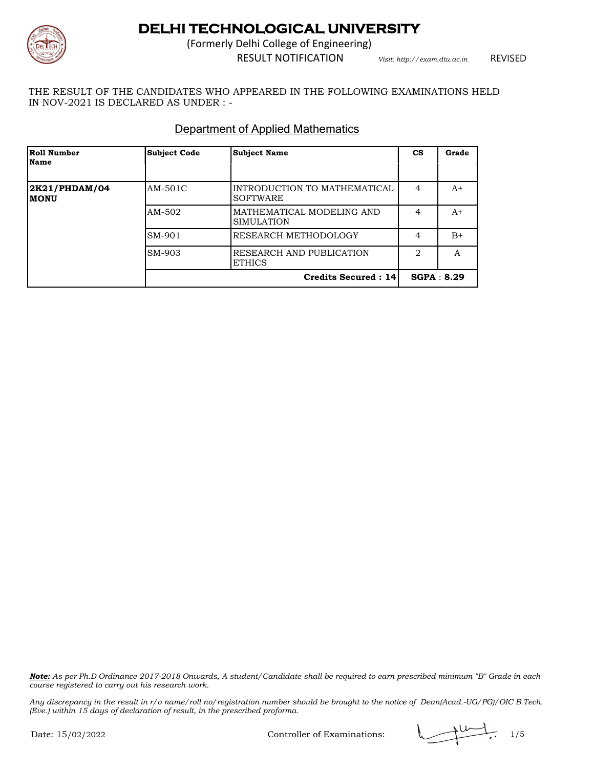

(Formerly Delhi College of Engineering)

RESULT NOTIFICATION *Visit: http://exam.dtu.ac.in*

REVISED

THE RESULT OF THE CANDIDATES WHO APPEARED IN THE FOLLOWING EXAMINATIONS HELD IN NOV-2021 IS DECLARED AS UNDER : -

### Department of Applied Mathematics

| <b>Roll Number</b><br>Name   | <b>Subject Code</b> | <b>Subject Name</b>                             | <b>CS</b>      | Grade      |
|------------------------------|---------------------|-------------------------------------------------|----------------|------------|
|                              |                     |                                                 |                |            |
| 2K21/PHDAM/04<br><b>MONU</b> | AM-501C             | INTRODUCTION TO MATHEMATICAL<br><b>SOFTWARE</b> | 4              | $A+$       |
|                              | AM-502              | MATHEMATICAL MODELING AND<br><b>SIMULATION</b>  | 4              | $A+$       |
|                              | SM-901              | RESEARCH METHODOLOGY                            | 4              | $B+$       |
|                              | SM-903              | RESEARCH AND PUBLICATION<br><b>ETHICS</b>       | $\overline{2}$ | A          |
|                              |                     | Credits Secured: 14                             |                | SGPA: 8.29 |

*Note: As per Ph.D Ordinance 2017-2018 Onwards, A student/Candidate shall be required to earn prescribed minimum "B" Grade in each course registered to carry out his research work.*

Controller of Examinations:  $\sqrt{1/5}$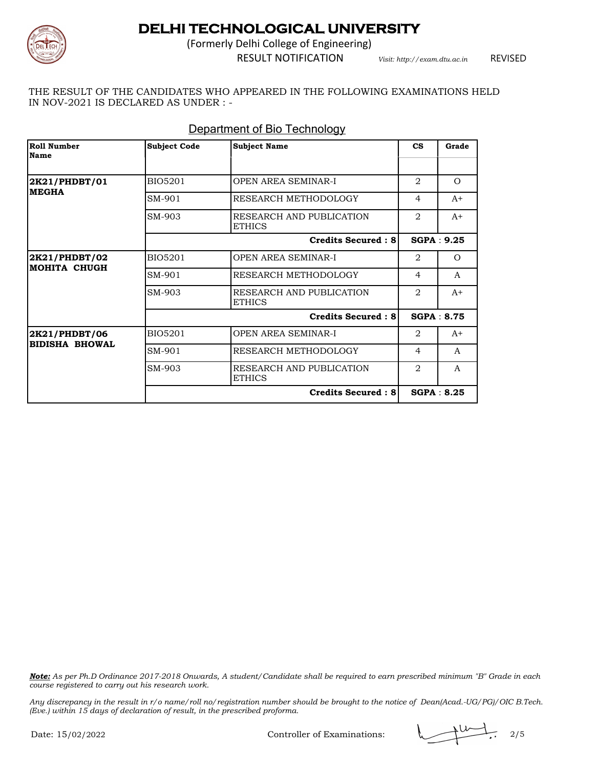

(Formerly Delhi College of Engineering)

RESULT NOTIFICATION *Visit: http://exam.dtu.ac.in*

REVISED

THE RESULT OF THE CANDIDATES WHO APPEARED IN THE FOLLOWING EXAMINATIONS HELD IN NOV-2021 IS DECLARED AS UNDER : -

| Roll Number<br><b>Name</b>             | <b>Subject Code</b> | <b>Subject Name</b>                       | $\mathbf{c}\mathbf{s}$ | Grade             |
|----------------------------------------|---------------------|-------------------------------------------|------------------------|-------------------|
| 2K21/PHDBT/01<br><b>MEGHA</b>          | <b>BIO5201</b>      | <b>OPEN AREA SEMINAR-I</b>                | $\overline{2}$         | $\Omega$          |
|                                        | SM-901              | RESEARCH METHODOLOGY                      | 4                      | $A+$              |
|                                        | SM-903              | RESEARCH AND PUBLICATION<br><b>ETHICS</b> | $\mathfrak{D}$         | $A+$              |
|                                        |                     | <b>Credits Secured: 8</b>                 |                        | SGPA: 9.25        |
| 2K21/PHDBT/02<br>MOHITA CHUGH          | <b>BIO5201</b>      | <b>OPEN AREA SEMINAR-I</b>                | 2                      | $\Omega$          |
|                                        | SM-901              | RESEARCH METHODOLOGY                      | 4                      | A                 |
|                                        | SM-903              | RESEARCH AND PUBLICATION<br><b>ETHICS</b> | $\overline{2}$         | $A+$              |
|                                        |                     | <b>Credits Secured: 8</b>                 |                        |                   |
| 2K21/PHDBT/06<br><b>BIDISHA BHOWAL</b> | <b>BIO5201</b>      | OPEN AREA SEMINAR-I                       | 2                      | $A+$              |
|                                        | SM-901              | RESEARCH METHODOLOGY                      | 4                      | A                 |
|                                        | SM-903              | RESEARCH AND PUBLICATION<br><b>ETHICS</b> | $\overline{2}$         | A                 |
|                                        |                     | <b>Credits Secured: 8</b>                 |                        | <b>SGPA: 8.25</b> |

### Department of Bio Technology

*Note: As per Ph.D Ordinance 2017-2018 Onwards, A student/Candidate shall be required to earn prescribed minimum "B" Grade in each course registered to carry out his research work.*

Controller of Examinations:  $\sqrt{2/5}$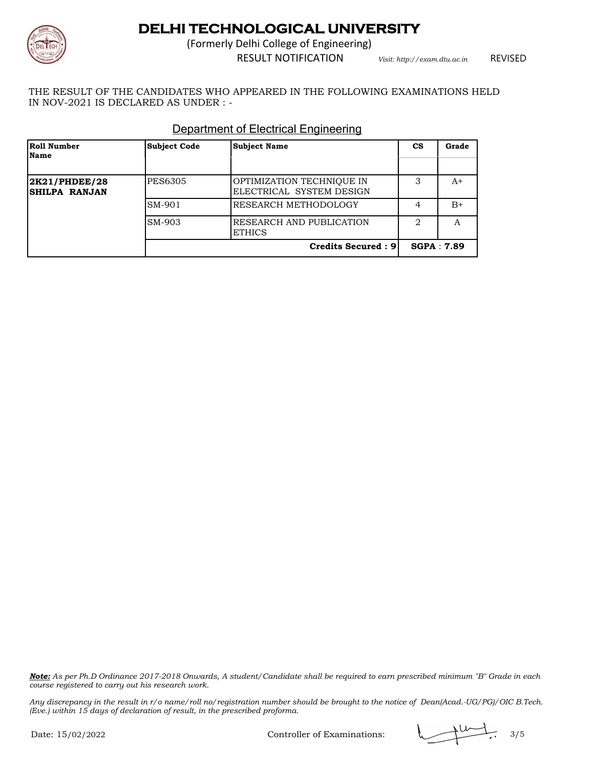

(Formerly Delhi College of Engineering)

RESULT NOTIFICATION *Visit: http://exam.dtu.ac.in*

REVISED

THE RESULT OF THE CANDIDATES WHO APPEARED IN THE FOLLOWING EXAMINATIONS HELD IN NOV-2021 IS DECLARED AS UNDER : -

| <b>Roll Number</b><br>Name             | <b>Subject Code</b> | <b>Subject Name</b>                                   | СS | Grade             |
|----------------------------------------|---------------------|-------------------------------------------------------|----|-------------------|
| 2K21/PHDEE/28<br><b>ISHILPA RANJAN</b> | PES6305             | OPTIMIZATION TECHNIOUE IN<br>ELECTRICAL SYSTEM DESIGN | 3  | A+                |
|                                        | SM-901              | RESEARCH METHODOLOGY                                  |    | $B+$              |
|                                        | SM-903              | RESEARCH AND PUBLICATION<br><b>ETHICS</b>             | 2  | A                 |
|                                        |                     | <b>Credits Secured: 9</b>                             |    | <b>SGPA: 7.89</b> |

#### Department of Electrical Engineering

*Note: As per Ph.D Ordinance 2017-2018 Onwards, A student/Candidate shall be required to earn prescribed minimum "B" Grade in each course registered to carry out his research work.*

Controller of Examinations:  $\sqrt{14/16}$ , 3/5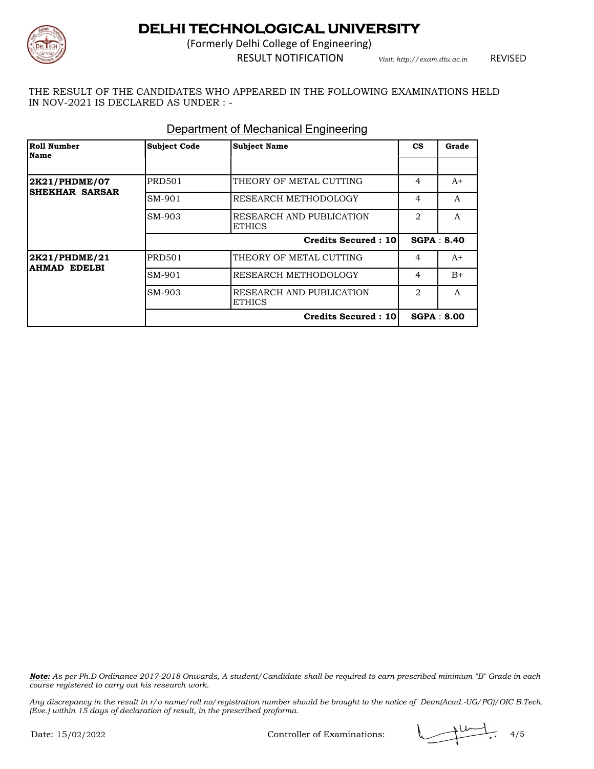

(Formerly Delhi College of Engineering)

RESULT NOTIFICATION *Visit: http://exam.dtu.ac.in*

REVISED

THE RESULT OF THE CANDIDATES WHO APPEARED IN THE FOLLOWING EXAMINATIONS HELD IN NOV-2021 IS DECLARED AS UNDER : -

| <b>Roll Number</b><br><b>Name</b>      | <b>Subject Code</b> | <b>Subject Name</b>                       | <b>CS</b>      | Grade             |
|----------------------------------------|---------------------|-------------------------------------------|----------------|-------------------|
|                                        |                     |                                           |                |                   |
| 2K21/PHDME/07<br><b>SHEKHAR SARSAR</b> | <b>PRD501</b>       | THEORY OF METAL CUTTING                   | 4              | $A+$              |
|                                        | SM-901              | RESEARCH METHODOLOGY                      | 4              | A                 |
|                                        | SM-903              | RESEARCH AND PUBLICATION<br><b>ETHICS</b> | $\overline{2}$ | A                 |
|                                        |                     | <b>Credits Secured: 10</b>                |                | SGPA: 8.40        |
| 2K21/PHDME/21<br><b>AHMAD EDELBI</b>   | <b>PRD501</b>       | THEORY OF METAL CUTTING                   | 4              | $A+$              |
|                                        | SM-901              | RESEARCH METHODOLOGY                      | 4              | $B+$              |
|                                        | SM-903              | RESEARCH AND PUBLICATION<br><b>ETHICS</b> | 2              | A                 |
|                                        |                     | <b>Credits Secured: 10</b>                |                | <b>SGPA: 8.00</b> |

#### Department of Mechanical Engineering

*Note: As per Ph.D Ordinance 2017-2018 Onwards, A student/Candidate shall be required to earn prescribed minimum "B" Grade in each course registered to carry out his research work.*

Controller of Examinations:  $\sqrt{1+\frac{1}{1+\frac{1}{1+\frac{1}{1+\frac{1}{1+\frac{1}{1+\frac{1}{1+\frac{1}{1+\frac{1}{1+\frac{1}{1+\frac{1}{1+\frac{1}{1+\frac{1}{1+\frac{1}{1+\frac{1}{1+\frac{1}{1+\frac{1}{1+\frac{1}{1+\frac{1}{1+\frac{1}{1+\frac{1}{1+\frac{1}{1+\frac{1}{1+\frac{1}{1+\frac{1}{1+\frac{1}{1+\frac{1}{1+\frac{1}{1+\frac{1}{1+\frac{1}{1+\frac{1}{1+\frac{1}{1+\frac{$